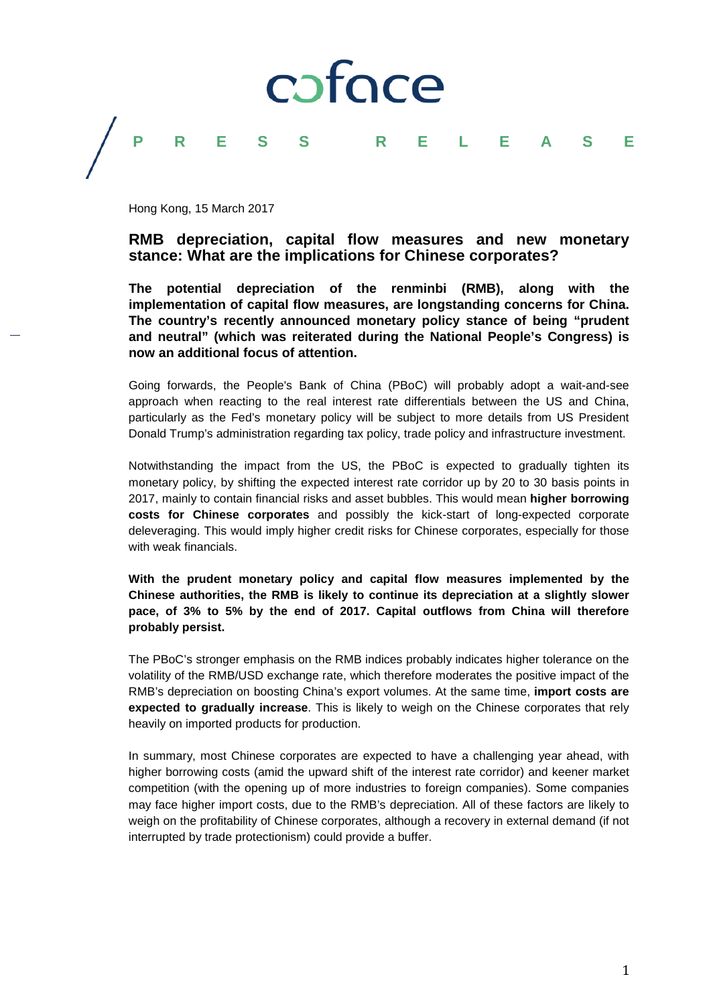

## **PRESS RELEASE**

Hong Kong, 15 March 2017

## **RMB depreciation, capital flow measures and new monetary stance: What are the implications for Chinese corporates?**

**The potential depreciation of the renminbi (RMB), along with the implementation of capital flow measures, are longstanding concerns for China. The country's recently announced monetary policy stance of being "prudent and neutral" (which was reiterated during the National People's Congress) is now an additional focus of attention.**

Going forwards, the People's Bank of China (PBoC) will probably adopt a wait-and-see approach when reacting to the real interest rate differentials between the US and China, particularly as the Fed's monetary policy will be subject to more details from US President Donald Trump's administration regarding tax policy, trade policy and infrastructure investment.

Notwithstanding the impact from the US, the PBoC is expected to gradually tighten its monetary policy, by shifting the expected interest rate corridor up by 20 to 30 basis points in 2017, mainly to contain financial risks and asset bubbles. This would mean **higher borrowing costs for Chinese corporates** and possibly the kick-start of long-expected corporate deleveraging. This would imply higher credit risks for Chinese corporates, especially for those with weak financials.

**With the prudent monetary policy and capital flow measures implemented by the Chinese authorities, the RMB is likely to continue its depreciation at a slightly slower pace, of 3% to 5% by the end of 2017. Capital outflows from China will therefore probably persist.**

The PBoC's stronger emphasis on the RMB indices probably indicates higher tolerance on the volatility of the RMB/USD exchange rate, which therefore moderates the positive impact of the RMB's depreciation on boosting China's export volumes. At the same time, **import costs are expected to gradually increase**. This is likely to weigh on the Chinese corporates that rely heavily on imported products for production.

In summary, most Chinese corporates are expected to have a challenging year ahead, with higher borrowing costs (amid the upward shift of the interest rate corridor) and keener market competition (with the opening up of more industries to foreign companies). Some companies may face higher import costs, due to the RMB's depreciation. All of these factors are likely to weigh on the profitability of Chinese corporates, although a recovery in external demand (if not interrupted by trade protectionism) could provide a buffer.